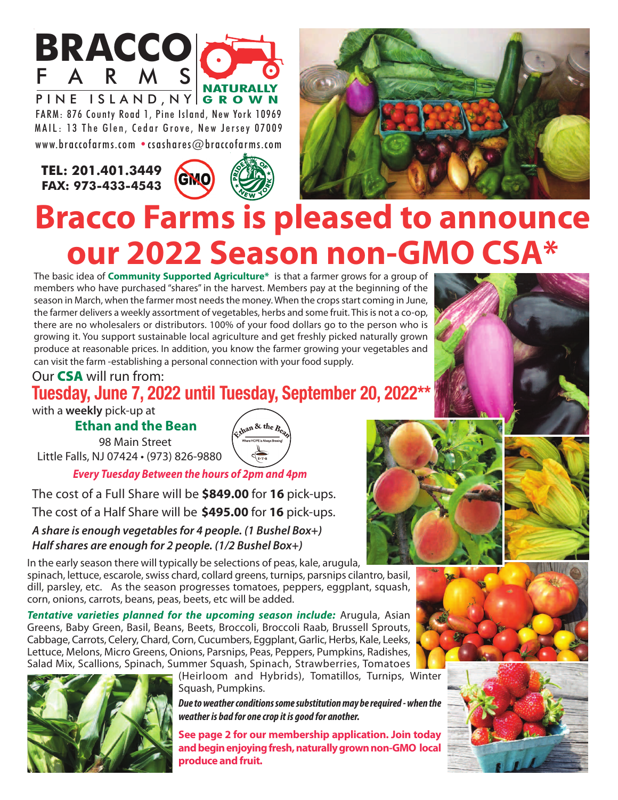

FARM: 876 County Road 1, Pine Island, New York 10969 MAIL: 13 The Glen, Cedar Grove, New Jersey 07009 www.braccofarms.com •csashares@braccofarms.com

**TEL: 201.401.3449 FAX: 973-433-4543**





## **Bracco Farms is pleased to announce our 2022 Season non-GMO CSA\***

The basic idea of **Community Supported Agriculture\*** is that a farmer grows for a group of members who have purchased "shares" in the harvest. Members pay at the beginning of the season in March, when the farmer most needs the money. When the crops start coming in June, the farmer delivers a weekly assortment of vegetables, herbs and some fruit. Thisis not a co-op, there are no wholesalers or distributors. 100% of your food dollars go to the person who is growing it. You support sustainable local agriculture and get freshly picked naturally grown produce at reasonable prices. In addition, you know the farmer growing your vegetables and can visit the farm -establishing a personal connection with your food supply.

Our **CSA** will run from:

## **Tuesday, June 7, 2022 until Tuesday, September 20, 2022\*\***

with a **weekly** pick-up at

**Ethan and the Bean**

98 Main Street Little Falls, NJ 07424 • (973) 826-9880



*Every Tuesday Between the hours of 2pm and 4pm*

The cost of a Full Share will be **\$849.00** for **16** pick-ups. The cost of a Half Share will be **\$495.00** for **16** pick-ups.

*A share is enough vegetablesfor 4 people. (1 Bushel Box+) Halfshares are enough for 2 people. (1/2 Bushel Box+)*

In the early season there will typically be selections of peas, kale, arugula, spinach, lettuce, escarole, swiss chard, collard greens, turnips, parsnips cilantro, basil, dill, parsley, etc. As the season progresses tomatoes, peppers, eggplant, squash, corn, onions, carrots, beans, peas, beets, etc will be added.

*Tentative varieties planned for the upcoming season include:* Arugula, Asian Greens, Baby Green, Basil, Beans, Beets, Broccoli, Broccoli Raab, Brussell Sprouts, Cabbage, Carrots, Celery, Chard, Corn, Cucumbers, Eggplant, Garlic, Herbs, Kale, Leeks, Lettuce, Melons, Micro Greens, Onions, Parsnips, Peas, Peppers, Pumpkins, Radishes, Salad Mix, Scallions, Spinach, Summer Squash, Spinach, Strawberries, Tomatoes



(Heirloom and Hybrids), Tomatillos, Turnips, Winter Squash, Pumpkins.

*Duetoweatherconditionssomesubstitutionmay berequired -when the weatheris bad for onecrop it is good for another.*

**See page 2 for our membership application. Join today andbeginenjoyingfresh,naturallygrownnon-GMO local produce and fruit.**